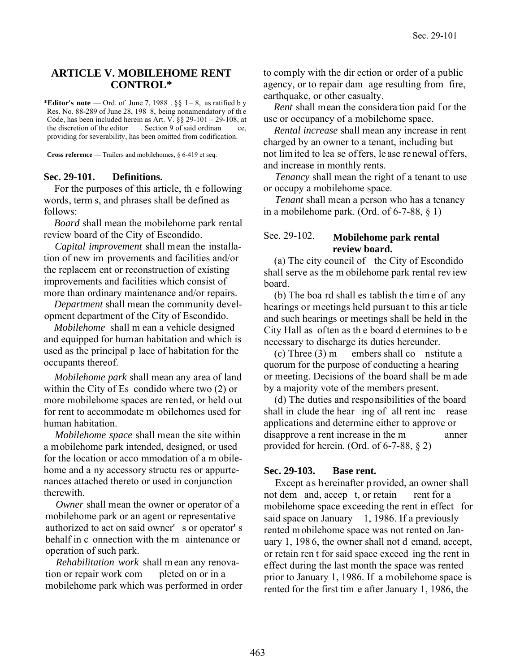## **ARTICLE V. MOBILEHOME RENT CONTROL\***

\***Editor's note** — Ord. of June 7, 1988 .  $\S\S$  1 – 8, as ratified by Res. No. 88-289 of June 28, 198 8, being nonamendatory of th e Code, has been included herein as Art. V. §§ 29-101 – 29-108, at the discretion of the editor . Section 9 of said ordinan ce, providing for severability, has been omitted from codification.

**Cross reference** — Trailers and mobilehomes, § 6-419 et seq.

#### **Sec. 29-101. Definitions.**

For the purposes of this article, th e following words, term s, and phrases shall be defined as follows:

 *Board* shall mean the mobilehome park rental review board of the City of Escondido.

*Capital improvement* shall mean the installation of new im provements and facilities and/or the replacem ent or reconstruction of existing improvements and facilities which consist of more than ordinary maintenance and/or repairs.

*Department* shall mean the community development department of the City of Escondido.

*Mobilehome* shall m ean a vehicle designed and equipped for human habitation and which is used as the principal p lace of habitation for the occupants thereof.

*Mobilehome park* shall mean any area of land within the City of Es condido where two (2) or more mobilehome spaces are rented, or held out for rent to accommodate m obilehomes used for human habitation.

*Mobilehome space* shall mean the site within a mobilehome park intended, designed, or used for the location or acco mmodation of a m obilehome and a ny accessory structu res or appurtenances attached thereto or used in conjunction therewith.

*Owner* shall mean the owner or operator of a mobilehome park or an agent or representative authorized to act on said owner' s or operator' s behalf in c onnection with the m aintenance or operation of such park.

*Rehabilitation work* shall m ean any renovation or repair work com pleted on or in a mobilehome park which was performed in order to comply with the dir ection or order of a public agency, or to repair dam age resulting from fire, earthquake, or other casualty.

*Rent* shall mean the consideration paid for the use or occupancy of a mobilehome space.

*Rental increase* shall mean any increase in rent charged by an owner to a tenant, including but not lim ited to lea se of fers, le ase re newal of fers, and increase in monthly rents.

 *Tenancy* shall mean the right of a tenant to use or occupy a mobilehome space.

 *Tenant* shall mean a person who has a tenancy in a mobilehome park. (Ord. of 6-7-88, § 1)

# See. 29-102. **Mobilehome park rental review board.**

(a) The city council of the City of Escondido shall serve as the m obilehome park rental rev iew board.

(b) The boa rd shall es tablish th e tim e of any hearings or meetings held pursuan t to this ar ticle and such hearings or meetings shall be held in the City Hall as often as th e board d etermines to b e necessary to discharge its duties hereunder.

(c) Three (3) m embers shall co nstitute a quorum for the purpose of conducting a hearing or meeting. Decisions of the board shall be m ade by a majority vote of the members present.

(d) The duties and responsibilities of the board shall in clude the hear ing of all rent inc rease applications and determine either to approve or disapprove a rent increase in the m anner provided for herein. (Ord. of 6-7-88, § 2)

#### **Sec. 29-103. Base rent.**

Except as h ereinafter p rovided, an owner shall not dem and, accep t, or retain rent for a mobilehome space exceeding the rent in effect for said space on January  $1, 1986$ . If a previously rented m obilehome space was not rented on January 1, 198 6, the owner shall not d emand, accept, or retain ren t for said space exceed ing the rent in effect during the last month the space was rented prior to January 1, 1986. If a mobilehome space is rented for the first tim e after January 1, 1986, the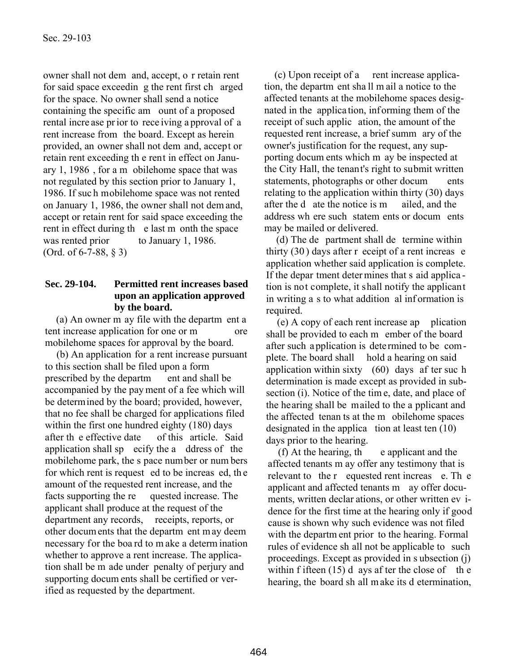owner shall not dem and, accept, o r retain rent for said space exceedin g the rent first ch arged for the space. No owner shall send a notice containing the specific am ount of a proposed rental incre ase pr ior to rece iving a pproval of a rent increase from the board. Except as herein provided, an owner shall not dem and, accept or retain rent exceeding th e rent in effect on January 1, 1986 , for a m obilehome space that was not regulated by this section prior to January 1, 1986. If suc h mobilehome space was not rented on January 1, 1986, the owner shall not dem and, accept or retain rent for said space exceeding the rent in effect during th e last m onth the space was rented prior to January 1, 1986. (Ord. of 6-7-88, § 3)

# **Sec. 29-104. Permitted rent increases based upon an application approved by the board.**

(a) An owner m ay file with the departm ent a tent increase application for one or m ore mobilehome spaces for approval by the board.

(b) An application for a rent increase pursuant to this section shall be filed upon a form prescribed by the departm ent and shall be accompanied by the pay ment of a fee which will be determined by the board; provided, however, that no fee shall be charged for applications filed within the first one hundred eighty (180) days after th e effective date of this article. Said application shall sp ecify the a ddress of the mobilehome park, the s pace number or num bers for which rent is request ed to be increas ed, th e amount of the requested rent increase, and the facts supporting the re quested increase. The applicant shall produce at the request of the department any records, receipts, reports, or other docum ents that the departm ent m ay deem necessary for the boa rd to m ake a determ ination whether to approve a rent increase. The application shall be m ade under penalty of perjury and supporting docum ents shall be certified or verified as requested by the department.

(c) Upon receipt of a rent increase application, the departm ent sha ll m ail a notice to the affected tenants at the mobilehome spaces designated in the applica tion, inf orming them of the receipt of such applic ation, the amount of the requested rent increase, a brief summ ary of the owner's justification for the request, any supporting docum ents which m ay be inspected at the City Hall, the tenant's right to submit written statements, photographs or other docum ents relating to the application within thirty (30) days after the d ate the notice is m ailed, and the address wh ere such statem ents or docum ents may be mailed or delivered.

(d) The de partment shall de termine within thirty (30 ) days after r eceipt of a rent increas e application whether said application is complete. If the depar tment deter mines that s aid applica tion is not complete, it shall notify the applicant in writing a s to what addition al inf ormation is required.

(e) A copy of each rent increase ap plication shall be provided to each m ember of the board after such application is determined to be complete. The board shall hold a hearing on said application within sixty (60) days af ter suc h determination is made except as provided in subsection (i). Notice of the tim e, date, and place of the hearing shall be mailed to the a pplicant and the affected tenan ts at the m obilehome spaces designated in the applica tion at least ten (10) days prior to the hearing.

(f) At the hearing, th e applicant and the affected tenants m ay offer any testimony that is relevant to the r equested rent increas e. Th e applicant and affected tenants m ay offer documents, written declar ations, or other written ev idence for the first time at the hearing only if good cause is shown why such evidence was not filed with the departm ent prior to the hearing. Formal rules of evidence sh all not be applicable to such proceedings. Except as provided in s ubsection (j) within f ifteen  $(15)$  d ays af ter the close of the hearing, the board sh all m ake its d etermination,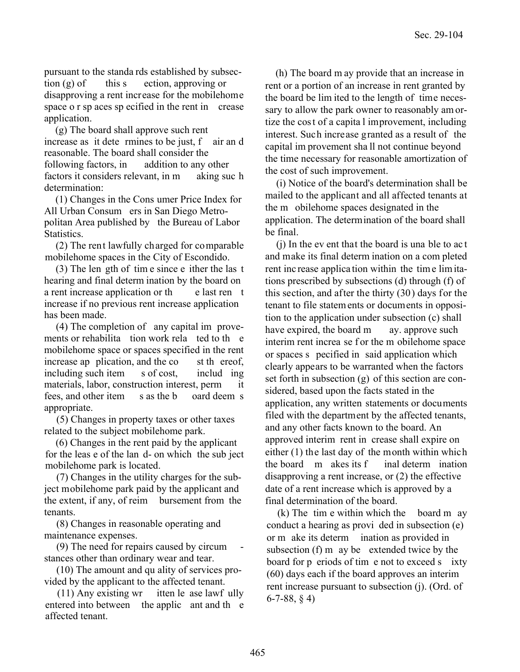pursuant to the standa rds established by subsection  $(g)$  of this s ection, approving or disapproving a rent increase for the mobilehome space o r sp aces sp ecified in the rent in crease application.

(g) The board shall approve such rent increase as it dete rmines to be just, f air an d reasonable. The board shall consider the following factors, in addition to any other factors it considers relevant, in m aking such determination:

(1) Changes in the Cons umer Price Index for All Urban Consum ers in San Diego Metropolitan Area published by the Bureau of Labor Statistics.

(2) The rent lawfully charged for comparable mobilehome spaces in the City of Escondido.

(3) The len gth of tim e since e ither the las t hearing and final determ ination by the board on a rent increase application or the e last ren t increase if no previous rent increase application has been made.

(4) The completion of any capital im provements or rehabilita tion work rela ted to the mobilehome space or spaces specified in the rent increase ap plication, and the co st the reof, including such item s of cost, includ ing materials, labor, construction interest, perm it fees, and other item s as the b oard deem s appropriate.

 (5) Changes in property taxes or other taxes related to the subject mobilehome park.

(6) Changes in the rent paid by the applicant for the leas e of the lan d- on which the sub ject mobilehome park is located.

 (7) Changes in the utility charges for the subject mobilehome park paid by the applicant and the extent, if any, of reim bursement from the tenants.

 (8) Changes in reasonable operating and maintenance expenses.

 $(9)$  The need for repairs caused by circum stances other than ordinary wear and tear.

 (10) The amount and qu ality of services provided by the applicant to the affected tenant.

(11) Any existing wr itten le ase lawf ully entered into between the applic ant and the affected tenant.

(h) The board m ay provide that an increase in rent or a portion of an increase in rent granted by the board be lim ited to the length of time necessary to allow the park owner to reasonably am ortize the cos t of a capita l improvement, including interest. Such increase granted as a result of the capital im provement sha ll not continue beyond the time necessary for reasonable amortization of the cost of such improvement.

(i) Notice of the board's determination shall be mailed to the applicant and all affected tenants at the m obilehome spaces designated in the application. The determination of the board shall be final.

(j) In the ev ent that the board is una ble to ac t and make its final determ ination on a com pleted rent inc rease applica tion within the tim e lim itations prescribed by subsections (d) through (f) of this section, and after the thirty (30) days for the tenant to file statem ents or documents in opposition to the application under subsection (c) shall have expired, the board m ay. approve such interim rent increa se f or the m obilehome space or spaces s pecified in said application which clearly appears to be warranted when the factors set forth in subsection (g) of this section are considered, based upon the facts stated in the application, any written statements or documents filed with the department by the affected tenants, and any other facts known to the board. An approved interim rent in crease shall expire on either (1) the last day of the month within which the board m akes its f inal determ ination disapproving a rent increase, or (2) the effective date of a rent increase which is approved by a final determination of the board.

(k) The tim e within which the board m ay conduct a hearing as provi ded in subsection (e) or m ake its determ ination as provided in subsection (f) m ay be extended twice by the board for p eriods of tim e not to exceed s ixty (60) days each if the board approves an interim rent increase pursuant to subsection (j). (Ord. of 6-7-88, § 4)